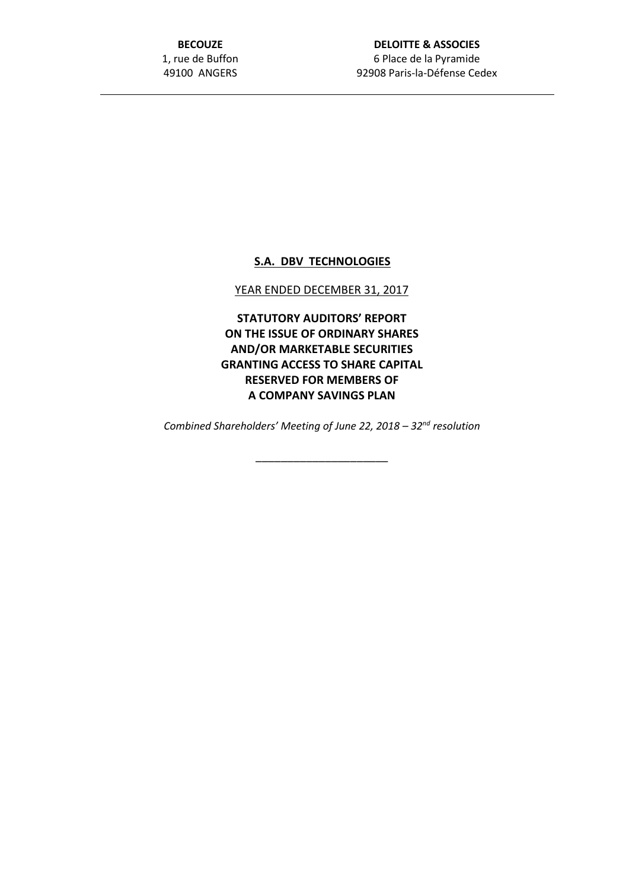**BECOUZE** 1, rue de Buffon 49100 ANGERS

## **S.A. DBV TECHNOLOGIES**

## YEAR ENDED DECEMBER 31, 2017

**STATUTORY AUDITORS' REPORT ON THE ISSUE OF ORDINARY SHARES AND/OR MARKETABLE SECURITIES GRANTING ACCESS TO SHARE CAPITAL RESERVED FOR MEMBERS OF A COMPANY SAVINGS PLAN**

*Combined Shareholders' Meeting of June 22, 2018 – 32nd resolution*

\_\_\_\_\_\_\_\_\_\_\_\_\_\_\_\_\_\_\_\_\_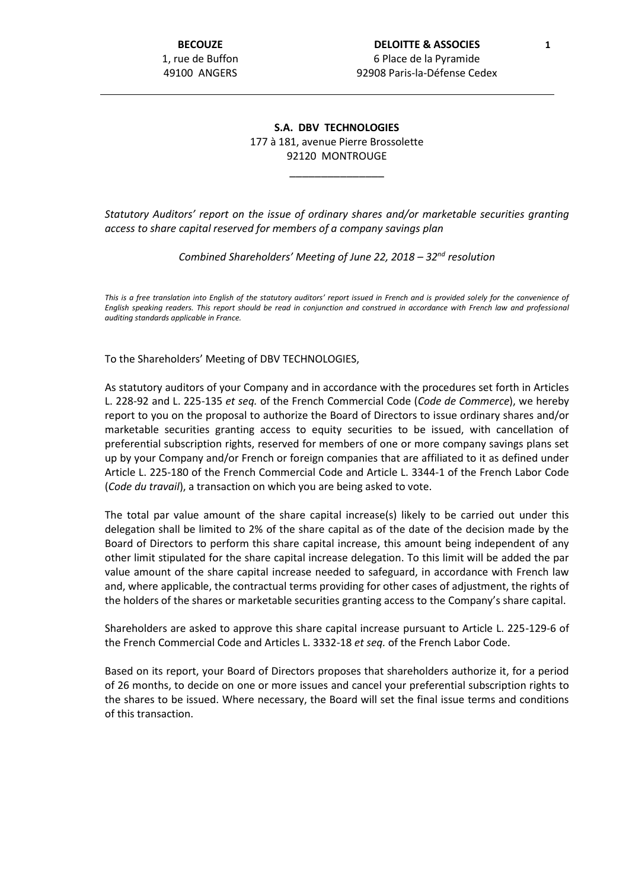## **S.A. DBV TECHNOLOGIES** 177 à 181, avenue Pierre Brossolette 92120 MONTROUGE

\_\_\_\_\_\_\_\_\_\_\_\_\_\_\_

*Statutory Auditors' report on the issue of ordinary shares and/or marketable securities granting access to share capital reserved for members of a company savings plan*

*Combined Shareholders' Meeting of June 22, 2018 – 32nd resolution*

*This is a free translation into English of the statutory auditors' report issued in French and is provided solely for the convenience of English speaking readers. This report should be read in conjunction and construed in accordance with French law and professional auditing standards applicable in France.*

To the Shareholders' Meeting of DBV TECHNOLOGIES,

As statutory auditors of your Company and in accordance with the procedures set forth in Articles L. 228-92 and L. 225-135 *et seq.* of the French Commercial Code (*Code de Commerce*), we hereby report to you on the proposal to authorize the Board of Directors to issue ordinary shares and/or marketable securities granting access to equity securities to be issued, with cancellation of preferential subscription rights, reserved for members of one or more company savings plans set up by your Company and/or French or foreign companies that are affiliated to it as defined under Article L. 225-180 of the French Commercial Code and Article L. 3344-1 of the French Labor Code (*Code du travail*), a transaction on which you are being asked to vote.

The total par value amount of the share capital increase(s) likely to be carried out under this delegation shall be limited to 2% of the share capital as of the date of the decision made by the Board of Directors to perform this share capital increase, this amount being independent of any other limit stipulated for the share capital increase delegation. To this limit will be added the par value amount of the share capital increase needed to safeguard, in accordance with French law and, where applicable, the contractual terms providing for other cases of adjustment, the rights of the holders of the shares or marketable securities granting access to the Company's share capital.

Shareholders are asked to approve this share capital increase pursuant to Article L. 225-129-6 of the French Commercial Code and Articles L. 3332-18 *et seq.* of the French Labor Code.

Based on its report, your Board of Directors proposes that shareholders authorize it, for a period of 26 months, to decide on one or more issues and cancel your preferential subscription rights to the shares to be issued. Where necessary, the Board will set the final issue terms and conditions of this transaction.